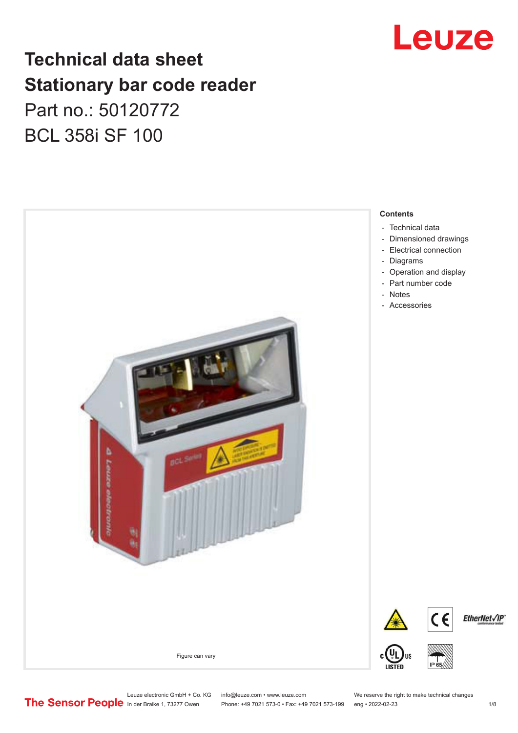

## **Technical data sheet Stationary bar code reader** Part no.: 50120772 BCL 358i SF 100



Leuze electronic GmbH + Co. KG info@leuze.com • www.leuze.com We reserve the right to make technical changes<br> **The Sensor People** in der Braike 1, 73277 Owen Phone: +49 7021 573-1 +49 7021 573-199 eng • 2022-02-23

Phone: +49 7021 573-0 • Fax: +49 7021 573-199 eng • 2022-02-23 1 /8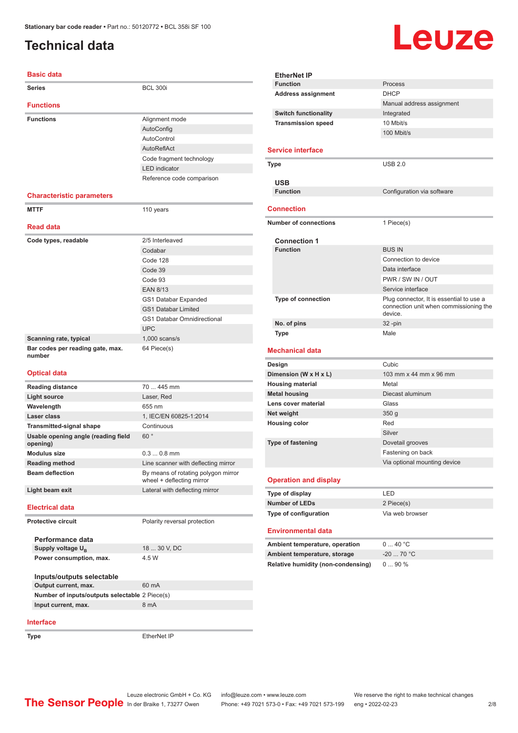### <span id="page-1-0"></span>**Technical data**

# Leuze

Manual address assignment

100 Mbit/s

| <b>Basic data</b>                               |                                                                  |
|-------------------------------------------------|------------------------------------------------------------------|
| <b>Series</b>                                   | <b>BCL 300i</b>                                                  |
| <b>Functions</b>                                |                                                                  |
| <b>Functions</b>                                | Alignment mode                                                   |
|                                                 | AutoConfig                                                       |
|                                                 | AutoControl                                                      |
|                                                 | AutoReflAct                                                      |
|                                                 | Code fragment technology                                         |
|                                                 | <b>LED</b> indicator                                             |
|                                                 | Reference code comparison                                        |
| <b>Characteristic parameters</b>                |                                                                  |
| <b>MTTF</b>                                     | 110 years                                                        |
|                                                 |                                                                  |
| <b>Read data</b>                                |                                                                  |
| Code types, readable                            | 2/5 Interleaved                                                  |
|                                                 | Codabar                                                          |
|                                                 | Code 128                                                         |
|                                                 | Code 39                                                          |
|                                                 | Code 93                                                          |
|                                                 | <b>EAN 8/13</b>                                                  |
|                                                 | GS1 Databar Expanded                                             |
|                                                 | <b>GS1 Databar Limited</b>                                       |
|                                                 | <b>GS1 Databar Omnidirectional</b>                               |
|                                                 | <b>UPC</b>                                                       |
| Scanning rate, typical                          | $1,000$ scans/s                                                  |
| Bar codes per reading gate, max.<br>number      | 64 Piece(s)                                                      |
| <b>Optical data</b>                             |                                                                  |
| <b>Reading distance</b>                         | 70  445 mm                                                       |
| <b>Light source</b>                             | Laser, Red                                                       |
| Wavelength                                      | 655 nm                                                           |
| Laser class                                     | 1, IEC/EN 60825-1:2014                                           |
| <b>Transmitted-signal shape</b>                 | Continuous                                                       |
| Usable opening angle (reading field<br>opening) | 60°                                                              |
| <b>Modulus size</b>                             | $0.30.8$ mm                                                      |
| <b>Reading method</b>                           | Line scanner with deflecting mirror                              |
| <b>Beam deflection</b>                          | By means of rotating polygon mirror<br>wheel + deflecting mirror |
| Light beam exit                                 | Lateral with deflecting mirror                                   |
| <b>Electrical data</b>                          |                                                                  |
| <b>Protective circuit</b>                       | Polarity reversal protection                                     |

|                          | <b>USB</b>                             |                                                                                               |
|--------------------------|----------------------------------------|-----------------------------------------------------------------------------------------------|
|                          | <b>Function</b>                        | Configuration via software                                                                    |
|                          |                                        |                                                                                               |
|                          | <b>Connection</b>                      |                                                                                               |
|                          | <b>Number of connections</b>           | 1 Piece(s)                                                                                    |
|                          |                                        |                                                                                               |
|                          | <b>Connection 1</b><br><b>Function</b> | <b>BUS IN</b>                                                                                 |
|                          |                                        | Connection to device                                                                          |
|                          |                                        |                                                                                               |
|                          |                                        | Data interface                                                                                |
|                          |                                        | PWR / SW IN / OUT                                                                             |
|                          |                                        | Service interface                                                                             |
|                          | <b>Type of connection</b>              | Plug connector, It is essential to use a<br>connection unit when commissioning the<br>device. |
|                          | No. of pins                            | $32 - pin$                                                                                    |
|                          | <b>Type</b>                            | Male                                                                                          |
|                          |                                        |                                                                                               |
|                          | Mechanical data                        |                                                                                               |
| Cubic<br>Design          |                                        |                                                                                               |
|                          | Dimension (W x H x L)                  | 103 mm x 44 mm x 96 mm                                                                        |
|                          | <b>Housing material</b>                | Metal                                                                                         |
|                          | <b>Metal housing</b>                   | Diecast aluminum                                                                              |
|                          | Lens cover material                    | Glass                                                                                         |
|                          | Net weight                             | 350 g                                                                                         |
| <b>Housing color</b>     |                                        | Red                                                                                           |
|                          |                                        | Silver                                                                                        |
| <b>Type of fastening</b> |                                        | Dovetail grooves                                                                              |
|                          |                                        | Fastening on back                                                                             |
|                          |                                        | Via optional mounting device                                                                  |
|                          | <b>Operation and display</b>           |                                                                                               |
|                          | Type of display                        | LED                                                                                           |
|                          | <b>Number of LEDs</b>                  | 2 Piece(s)                                                                                    |

| NUILIUSI ULLEUS                | 2 FICUC(3)             |
|--------------------------------|------------------------|
| Type of configuration          | Via web browser        |
| <b>Environmental data</b>      |                        |
| Ambient temperature, operation | $0 \quad 40 \degree C$ |

| Ambient temperature, operation     | $0 \dots 40$ °C |
|------------------------------------|-----------------|
| Ambient temperature, storage       | $-20$ 70 °C     |
| Relative humidity (non-condensing) | $090\%$         |

**Interface**

**Performance data** Supply voltage  $U_B$ 

**Inputs/outputs selectable**

**Power consumption, max.** 4.5 W

**Output current, max.** 60 mA **Number of inputs/outputs selectable** 2 Piece(s) **Input current, max.** 8 mA

**EtherNet IP** 

18 ... 30 V, DC

Leuze electronic GmbH + Co. KG info@leuze.com • www.leuze.com We reserve the right to make technical changes<br>
The Sensor People in der Braike 1, 73277 Owen Phone: +49 7021 573-0 • Fax: +49 7021 573-199 eng • 2022-02-23

**EtherNet IP**

**Service interface**

**Function** Process Address assignment **DHCP** 

**Switch functionality** Integrated **Transmission speed** 10 Mbit/s

**Type** USB 2.0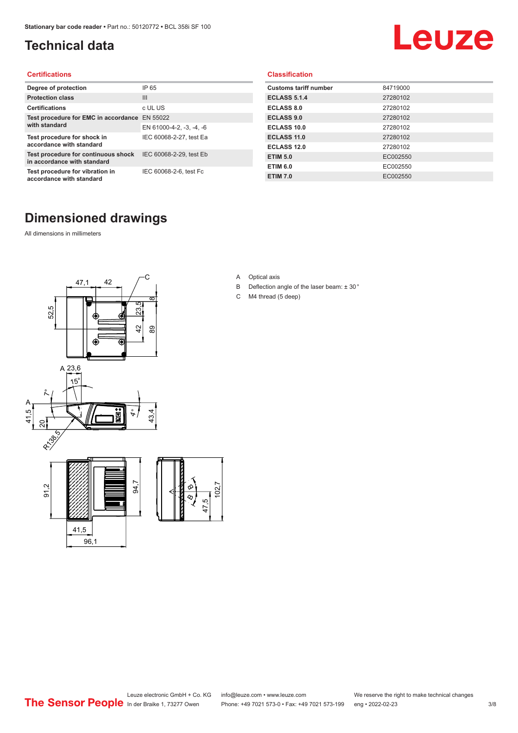### <span id="page-2-0"></span>**Technical data**

# Leuze

#### **Certifications**

| Degree of protection                                               | IP 65                    |
|--------------------------------------------------------------------|--------------------------|
| <b>Protection class</b>                                            | Ш                        |
| <b>Certifications</b>                                              | c UL US                  |
| Test procedure for EMC in accordance EN 55022<br>with standard     |                          |
|                                                                    | EN 61000-4-2, -3, -4, -6 |
| Test procedure for shock in<br>accordance with standard            | IEC 60068-2-27, test Ea  |
| Test procedure for continuous shock<br>in accordance with standard | IEC 60068-2-29, test Eb  |
| Test procedure for vibration in<br>accordance with standard        | IEC 60068-2-6, test Fc   |

#### **Classification**

| <b>Customs tariff number</b> | 84719000 |
|------------------------------|----------|
| <b>ECLASS 5.1.4</b>          | 27280102 |
| <b>ECLASS 8.0</b>            | 27280102 |
| <b>ECLASS 9.0</b>            | 27280102 |
| ECLASS 10.0                  | 27280102 |
| <b>ECLASS 11.0</b>           | 27280102 |
| <b>ECLASS 12.0</b>           | 27280102 |
| <b>ETIM 5.0</b>              | EC002550 |
| <b>ETIM 6.0</b>              | EC002550 |
| <b>ETIM 7.0</b>              | EC002550 |

#### **Dimensioned drawings**

All dimensions in millimeters



- A Optical axis
- B Deflection angle of the laser beam: ± 30 °
- C M4 thread (5 deep)

 $\overline{2}$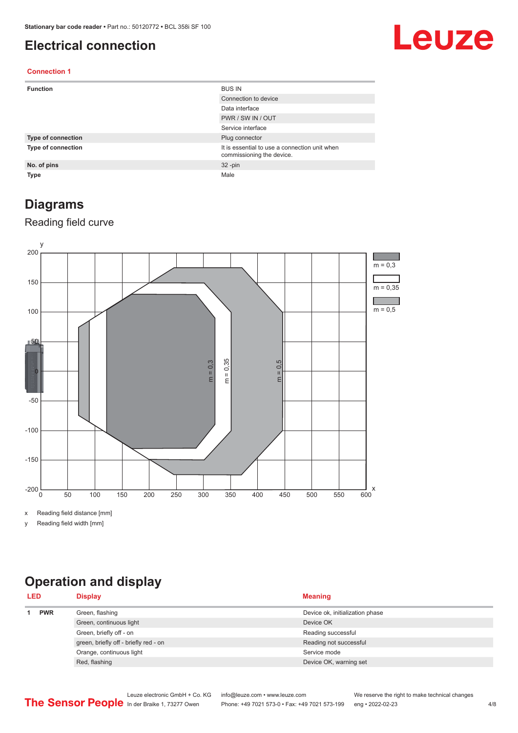#### <span id="page-3-0"></span>**Electrical connection**

## Leuze

#### **Connection 1**

| <b>Function</b>           | <b>BUS IN</b>                                                              |
|---------------------------|----------------------------------------------------------------------------|
|                           | Connection to device                                                       |
|                           | Data interface                                                             |
|                           | PWR / SW IN / OUT                                                          |
|                           | Service interface                                                          |
| <b>Type of connection</b> | Plug connector                                                             |
| Type of connection        | It is essential to use a connection unit when<br>commissioning the device. |
| No. of pins               | $32 - pin$                                                                 |
| <b>Type</b>               | Male                                                                       |

#### **Diagrams**

#### Reading field curve



x Reading field distance [mm]

y Reading field width [mm]

## **Operation and display**

| <b>LED</b> |            | <b>Display</b>                        | <b>Meaning</b>                  |
|------------|------------|---------------------------------------|---------------------------------|
|            | <b>PWR</b> | Green, flashing                       | Device ok, initialization phase |
|            |            | Green, continuous light               | Device OK                       |
|            |            | Green, briefly off - on               | Reading successful              |
|            |            | green, briefly off - briefly red - on | Reading not successful          |
|            |            | Orange, continuous light              | Service mode                    |
|            |            | Red, flashing                         | Device OK, warning set          |
|            |            |                                       |                                 |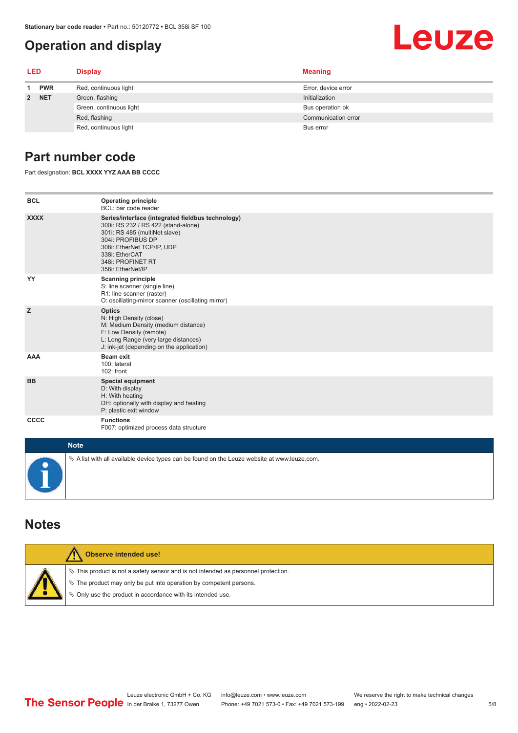### <span id="page-4-0"></span>**Operation and display**

## Leuze

| <b>LED</b> |            | <b>Display</b>          | <b>Meaning</b>      |
|------------|------------|-------------------------|---------------------|
| 1          | <b>PWR</b> | Red, continuous light   | Error, device error |
|            | 2 NET      | Green, flashing         | Initialization      |
|            |            | Green, continuous light | Bus operation ok    |
|            |            | Red, flashing           | Communication error |
|            |            | Red, continuous light   | Bus error           |

#### **Part number code**

Part designation: **BCL XXXX YYZ AAA BB CCCC**

| <b>BCL</b>  | <b>Operating principle</b><br>BCL: bar code reader                                                                                                                                                                                       |
|-------------|------------------------------------------------------------------------------------------------------------------------------------------------------------------------------------------------------------------------------------------|
| <b>XXXX</b> | Series/interface (integrated fieldbus technology)<br>300i: RS 232 / RS 422 (stand-alone)<br>301i: RS 485 (multiNet slave)<br>304i: PROFIBUS DP<br>308i: EtherNet TCP/IP, UDP<br>338i: EtherCAT<br>348i: PROFINET RT<br>358i: EtherNet/IP |
| YY          | <b>Scanning principle</b><br>S: line scanner (single line)<br>R1: line scanner (raster)<br>O: oscillating-mirror scanner (oscillating mirror)                                                                                            |
| z           | <b>Optics</b><br>N: High Density (close)<br>M: Medium Density (medium distance)<br>F: Low Density (remote)<br>L: Long Range (very large distances)<br>J: ink-jet (depending on the application)                                          |
| <b>AAA</b>  | <b>Beam exit</b><br>100: lateral<br>$102:$ front                                                                                                                                                                                         |
| <b>BB</b>   | <b>Special equipment</b><br>D: With display<br>H: With heating<br>DH: optionally with display and heating<br>P: plastic exit window                                                                                                      |
| cccc        | <b>Functions</b><br>F007: optimized process data structure                                                                                                                                                                               |
| <b>Note</b> |                                                                                                                                                                                                                                          |
|             | $\&$ A list with all available device types can be found on the Leuze website at www.leuze.com.                                                                                                                                          |

#### **Notes**

| Observe intended use!                                                                                                                                                                                                         |
|-------------------------------------------------------------------------------------------------------------------------------------------------------------------------------------------------------------------------------|
| $\%$ This product is not a safety sensor and is not intended as personnel protection.<br>$\&$ The product may only be put into operation by competent persons.<br>♦ Only use the product in accordance with its intended use. |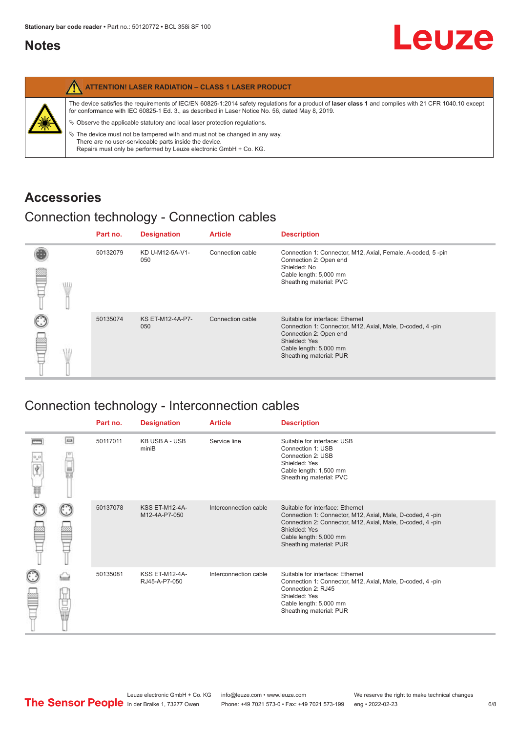#### <span id="page-5-0"></span>**Notes**

|   | <b>ATTENTION! LASER RADIATION - CLASS 1 LASER PRODUCT</b>                                                                                                                                                                                                                                                                                                                                                                                                                                                                                                   |
|---|-------------------------------------------------------------------------------------------------------------------------------------------------------------------------------------------------------------------------------------------------------------------------------------------------------------------------------------------------------------------------------------------------------------------------------------------------------------------------------------------------------------------------------------------------------------|
| 纂 | The device satisfies the requirements of IEC/EN 60825-1:2014 safety requlations for a product of laser class 1 and complies with 21 CFR 1040.10 except<br>for conformance with IEC 60825-1 Ed. 3., as described in Laser Notice No. 56, dated May 8, 2019.<br>$\%$ Observe the applicable statutory and local laser protection regulations.<br>$\%$ The device must not be tampered with and must not be changed in any way.<br>There are no user-serviceable parts inside the device.<br>Repairs must only be performed by Leuze electronic GmbH + Co. KG. |

#### **Accessories**

### Connection technology - Connection cables

|      | Part no. | <b>Designation</b>      | <b>Article</b>   | <b>Description</b>                                                                                                                                                                            |
|------|----------|-------------------------|------------------|-----------------------------------------------------------------------------------------------------------------------------------------------------------------------------------------------|
| \ll. | 50132079 | KD U-M12-5A-V1-<br>050  | Connection cable | Connection 1: Connector, M12, Axial, Female, A-coded, 5-pin<br>Connection 2: Open end<br>Shielded: No<br>Cable length: 5,000 mm<br>Sheathing material: PVC                                    |
|      | 50135074 | KS ET-M12-4A-P7-<br>050 | Connection cable | Suitable for interface: Ethernet<br>Connection 1: Connector, M12, Axial, Male, D-coded, 4-pin<br>Connection 2: Open end<br>Shielded: Yes<br>Cable length: 5,000 mm<br>Sheathing material: PUR |

### Connection technology - Interconnection cables

|                           |                                                                                                                                                                                                                                      | Part no. | <b>Designation</b>                     | <b>Article</b>        | <b>Description</b>                                                                                                                                                                                                               |
|---------------------------|--------------------------------------------------------------------------------------------------------------------------------------------------------------------------------------------------------------------------------------|----------|----------------------------------------|-----------------------|----------------------------------------------------------------------------------------------------------------------------------------------------------------------------------------------------------------------------------|
| $\frac{1}{\sqrt{2}}$<br>Ħ | $\Box$                                                                                                                                                                                                                               | 50117011 | <b>KB USB A - USB</b><br>miniB         | Service line          | Suitable for interface: USB<br>Connection 1: USB<br>Connection 2: USB<br>Shielded: Yes<br>Cable length: 1,500 mm<br>Sheathing material: PVC                                                                                      |
|                           |                                                                                                                                                                                                                                      | 50137078 | <b>KSS ET-M12-4A-</b><br>M12-4A-P7-050 | Interconnection cable | Suitable for interface: Ethernet<br>Connection 1: Connector, M12, Axial, Male, D-coded, 4-pin<br>Connection 2: Connector, M12, Axial, Male, D-coded, 4-pin<br>Shielded: Yes<br>Cable length: 5,000 mm<br>Sheathing material: PUR |
|                           | the control<br>the control<br>the control of the control of the control of the control of the control of the control of the control of the control of the control of the control of the control of the control of the control of the | 50135081 | <b>KSS ET-M12-4A-</b><br>RJ45-A-P7-050 | Interconnection cable | Suitable for interface: Ethernet<br>Connection 1: Connector, M12, Axial, Male, D-coded, 4-pin<br>Connection 2: RJ45<br>Shielded: Yes<br>Cable length: 5,000 mm<br>Sheathing material: PUR                                        |

Leuze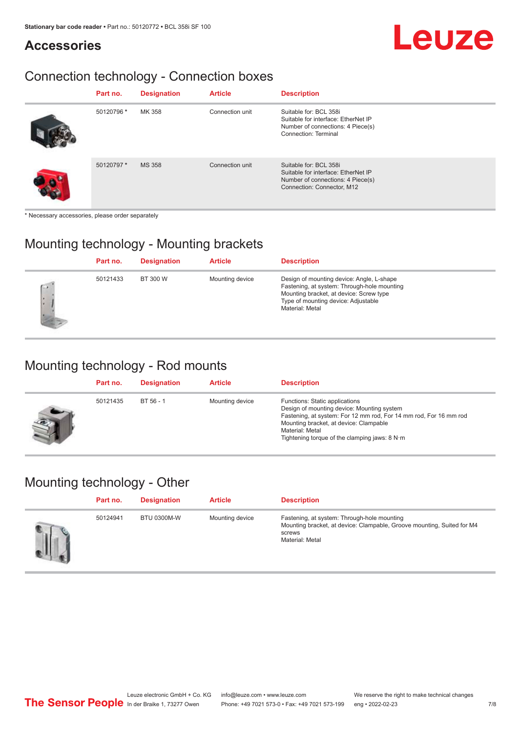#### **Accessories**

# Leuze

### Connection technology - Connection boxes

| Part no.   | <b>Designation</b> | <b>Article</b>  | <b>Description</b>                                                                                                               |
|------------|--------------------|-----------------|----------------------------------------------------------------------------------------------------------------------------------|
| 50120796 * | MK 358             | Connection unit | Suitable for: BCL 358i<br>Suitable for interface: EtherNet IP<br>Number of connections: 4 Piece(s)<br>Connection: Terminal       |
| 50120797*  | <b>MS 358</b>      | Connection unit | Suitable for: BCL 358i<br>Suitable for interface: EtherNet IP<br>Number of connections: 4 Piece(s)<br>Connection: Connector, M12 |

\* Necessary accessories, please order separately

#### Mounting technology - Mounting brackets

|               | Part no. | <b>Designation</b> | <b>Article</b>  | <b>Description</b>                                                                                                                                                                            |
|---------------|----------|--------------------|-----------------|-----------------------------------------------------------------------------------------------------------------------------------------------------------------------------------------------|
| $\rightarrow$ | 50121433 | BT 300 W           | Mounting device | Design of mounting device: Angle, L-shape<br>Fastening, at system: Through-hole mounting<br>Mounting bracket, at device: Screw type<br>Type of mounting device: Adjustable<br>Material: Metal |

#### Mounting technology - Rod mounts

| Part no. | <b>Designation</b> | <b>Article</b>  | <b>Description</b>                                                                                                                                                                                                                                                |
|----------|--------------------|-----------------|-------------------------------------------------------------------------------------------------------------------------------------------------------------------------------------------------------------------------------------------------------------------|
| 50121435 | BT 56 - 1          | Mounting device | Functions: Static applications<br>Design of mounting device: Mounting system<br>Fastening, at system: For 12 mm rod, For 14 mm rod, For 16 mm rod<br>Mounting bracket, at device: Clampable<br>Material: Metal<br>Tightening torque of the clamping jaws: $8 N·m$ |

#### Mounting technology - Other

| Part no. | <b>Designation</b> | <b>Article</b>  | <b>Description</b>                                                                                                                                 |
|----------|--------------------|-----------------|----------------------------------------------------------------------------------------------------------------------------------------------------|
| 50124941 | <b>BTU 0300M-W</b> | Mounting device | Fastening, at system: Through-hole mounting<br>Mounting bracket, at device: Clampable, Groove mounting, Suited for M4<br>screws<br>Material: Metal |